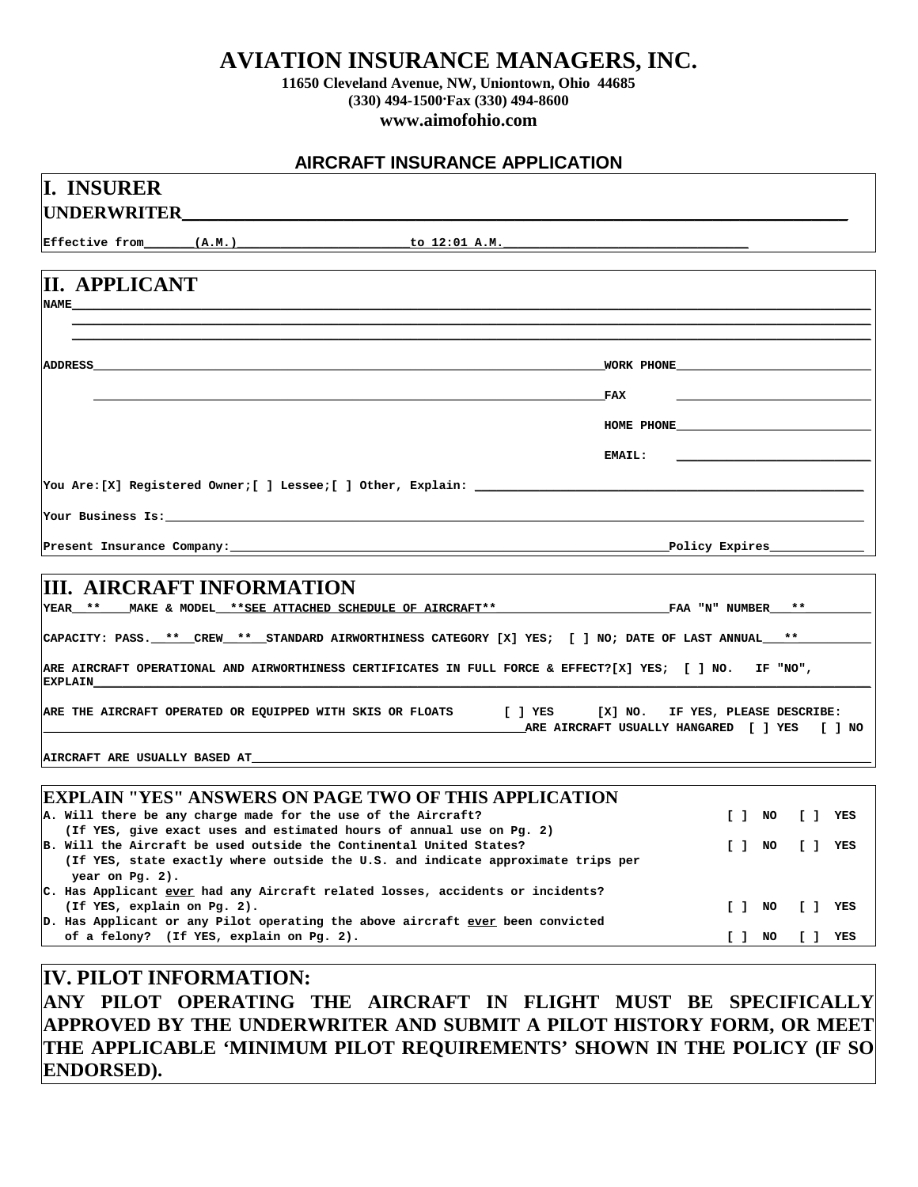## **AVIATION INSURANCE MANAGERS, INC.**

**11650 Cleveland Avenue, NW, Uniontown, Ohio 44685 (330) 494-1500. Fax (330) 494-8600 www.aimofohio.com**

### **AIRCRAFT INSURANCE APPLICATION**

Ī

| Effective from (A.M.)         |                                                                                                                  |                                                                                                                                             |                                                                                                                                                                                                                                                                                                                                                                      |            |           |
|-------------------------------|------------------------------------------------------------------------------------------------------------------|---------------------------------------------------------------------------------------------------------------------------------------------|----------------------------------------------------------------------------------------------------------------------------------------------------------------------------------------------------------------------------------------------------------------------------------------------------------------------------------------------------------------------|------------|-----------|
|                               |                                                                                                                  |                                                                                                                                             |                                                                                                                                                                                                                                                                                                                                                                      |            |           |
| <b>II. APPLICANT</b>          |                                                                                                                  |                                                                                                                                             |                                                                                                                                                                                                                                                                                                                                                                      |            |           |
| <b>NAME</b>                   |                                                                                                                  |                                                                                                                                             |                                                                                                                                                                                                                                                                                                                                                                      |            |           |
|                               |                                                                                                                  |                                                                                                                                             |                                                                                                                                                                                                                                                                                                                                                                      |            |           |
| ADDRESS                       |                                                                                                                  | <u> 1989 - Johann Stoff, deutscher Stoff, der Stoff, der Stoff, der Stoff, der Stoff, der Stoff, der Stoff, der S</u>                       |                                                                                                                                                                                                                                                                                                                                                                      |            |           |
|                               |                                                                                                                  |                                                                                                                                             |                                                                                                                                                                                                                                                                                                                                                                      |            |           |
|                               |                                                                                                                  |                                                                                                                                             | FAX                                                                                                                                                                                                                                                                                                                                                                  |            |           |
|                               |                                                                                                                  |                                                                                                                                             |                                                                                                                                                                                                                                                                                                                                                                      | HOME PHONE |           |
|                               |                                                                                                                  |                                                                                                                                             | <b>EMAIL:</b>                                                                                                                                                                                                                                                                                                                                                        |            |           |
|                               |                                                                                                                  |                                                                                                                                             |                                                                                                                                                                                                                                                                                                                                                                      |            |           |
|                               |                                                                                                                  |                                                                                                                                             |                                                                                                                                                                                                                                                                                                                                                                      |            |           |
|                               | Your Business Is: The Contract of the Second State of the Second State of the Second State of the Second State o |                                                                                                                                             |                                                                                                                                                                                                                                                                                                                                                                      |            |           |
|                               |                                                                                                                  |                                                                                                                                             |                                                                                                                                                                                                                                                                                                                                                                      |            |           |
|                               |                                                                                                                  |                                                                                                                                             |                                                                                                                                                                                                                                                                                                                                                                      |            |           |
| <b>EXPLAIN</b>                |                                                                                                                  |                                                                                                                                             | CAPACITY: PASS. ** CREW ** STANDARD AIRWORTHINESS CATEGORY [X] YES; [ ] NO; DATE OF LAST ANNUAL **<br>ARE AIRCRAFT OPERATIONAL AND AIRWORTHINESS CERTIFICATES IN FULL FORCE & EFFECT?[X] YES; [ ] NO. IF "NO",<br>ARE THE AIRCRAFT OPERATED OR EQUIPPED WITH SKIS OR FLOATS [ ] YES [X] NO. IF YES, PLEASE DESCRIBE:<br>ARE AIRCRAFT USUALLY HANGARED [ ] YES [ ] NO |            |           |
|                               |                                                                                                                  |                                                                                                                                             |                                                                                                                                                                                                                                                                                                                                                                      |            |           |
|                               |                                                                                                                  |                                                                                                                                             |                                                                                                                                                                                                                                                                                                                                                                      |            |           |
|                               |                                                                                                                  |                                                                                                                                             |                                                                                                                                                                                                                                                                                                                                                                      |            |           |
|                               |                                                                                                                  | EXPLAIN "YES" ANSWERS ON PAGE TWO OF THIS APPLICATION                                                                                       |                                                                                                                                                                                                                                                                                                                                                                      |            |           |
|                               |                                                                                                                  | A. Will there be any charge made for the use of the Aircraft?                                                                               |                                                                                                                                                                                                                                                                                                                                                                      | $[ ]$ NO   | [] YES    |
|                               |                                                                                                                  | (If YES, give exact uses and estimated hours of annual use on Pg. 2)<br>B. Will the Aircraft be used outside the Continental United States? | (If YES, state exactly where outside the U.S. and indicate approximate trips per                                                                                                                                                                                                                                                                                     | [1, 1, 1]  | $[ ]$ YES |
| year on Pg. 2).               |                                                                                                                  |                                                                                                                                             |                                                                                                                                                                                                                                                                                                                                                                      |            |           |
| (If YES, explain on Pg. 2).   |                                                                                                                  | C. Has Applicant <u>ever</u> had any Aircraft related losses, accidents or incidents?                                                       |                                                                                                                                                                                                                                                                                                                                                                      | $[ ]$ NO   | $[ ]$ YES |
|                               |                                                                                                                  | D. Has Applicant or any Pilot operating the above aircraft ever been convicted                                                              |                                                                                                                                                                                                                                                                                                                                                                      |            |           |
|                               | of a felony? (If YES, explain on Pg. 2).                                                                         |                                                                                                                                             |                                                                                                                                                                                                                                                                                                                                                                      | $[ ]$ NO   | $[ ]$ YES |
|                               |                                                                                                                  |                                                                                                                                             |                                                                                                                                                                                                                                                                                                                                                                      |            |           |
| <b>IV. PILOT INFORMATION:</b> |                                                                                                                  |                                                                                                                                             | ANY PILOT OPERATING THE AIRCRAFT IN FLIGHT MUST BE SPECIFICALLY                                                                                                                                                                                                                                                                                                      |            |           |

**THE APPLICABLE 'MINIMUM PILOT REQUIREMENTS' SHOWN IN THE POLICY (IF SO ENDORSED).**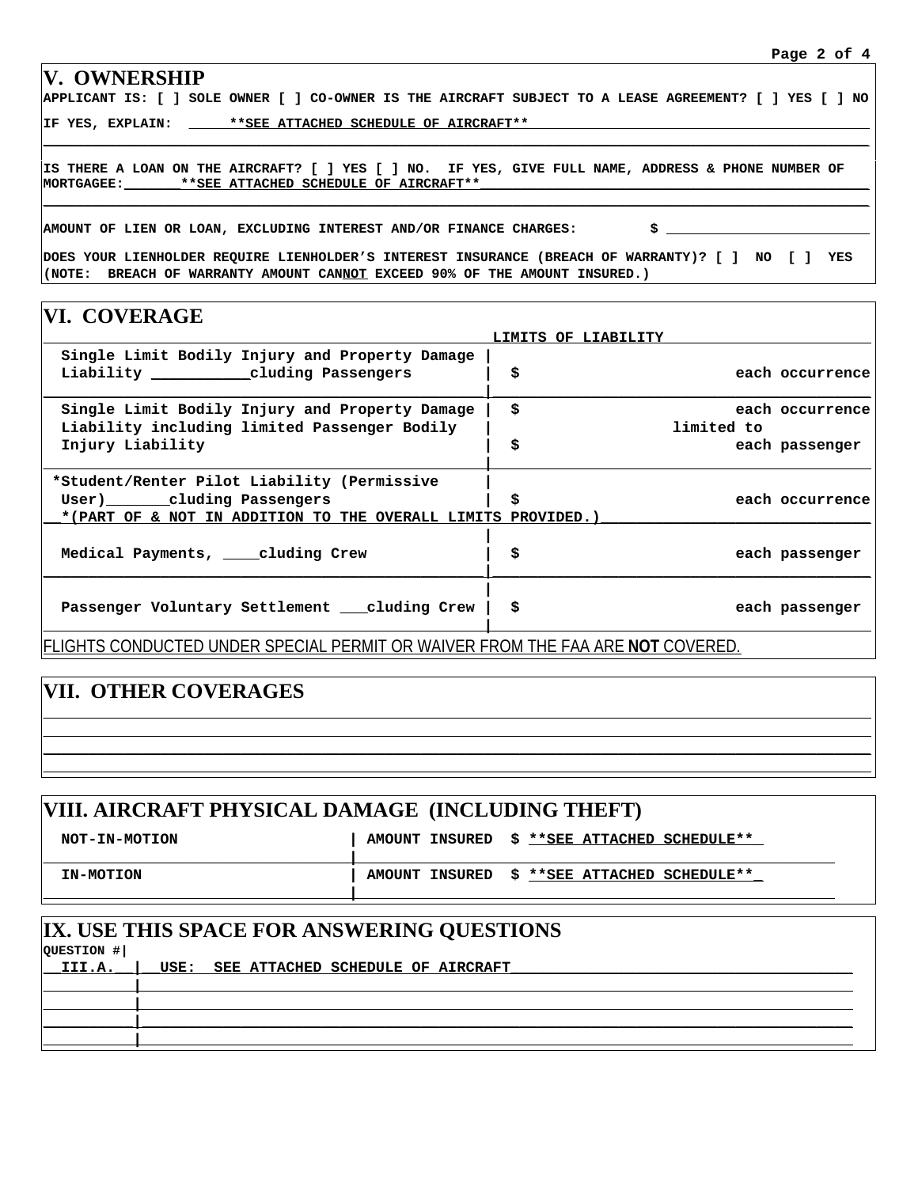#### **V. OWNERSHIP**

**APPLICANT IS: [ ] SOLE OWNER [ ] CO-OWNER IS THE AIRCRAFT SUBJECT TO A LEASE AGREEMENT? [ ] YES [ ] NO**

**\_\_\_\_\_\_\_\_\_\_\_\_\_\_\_\_\_\_\_\_\_\_\_\_\_\_\_\_\_\_\_\_\_\_\_\_\_\_\_\_\_\_\_\_\_\_\_\_\_\_\_\_\_\_\_\_\_\_\_\_\_\_\_\_\_\_\_\_\_\_\_\_\_\_\_\_\_\_\_\_\_\_\_\_\_\_\_\_\_\_\_\_\_\_\_\_\_\_\_\_\_\_**

**\_\_\_\_\_\_\_\_\_\_\_\_\_\_\_\_\_\_\_\_\_\_\_\_\_\_\_\_\_\_\_\_\_\_\_\_\_\_\_\_\_\_\_\_\_\_\_\_\_\_\_\_\_\_\_\_\_\_\_\_\_\_\_\_\_\_\_\_\_\_\_\_\_\_\_\_\_\_\_\_\_\_\_\_\_\_\_\_\_\_\_\_\_\_\_\_\_\_\_\_\_\_**

**IF YES, EXPLAIN: \_\_\_\_\_\*\*SEE ATTACHED SCHEDULE OF AIRCRAFT\*\*\_\_\_\_\_\_\_\_\_\_\_\_\_\_\_\_\_\_\_\_\_\_\_\_\_\_\_\_\_\_\_\_\_\_\_\_\_\_\_\_\_\_**

**IS THERE A LOAN ON THE AIRCRAFT? [ ] YES [ ] NO. IF YES, GIVE FULL NAME, ADDRESS & PHONE NUMBER OF** MORTGAGEE:\_\_\_\_\_\_\_\_ \*\*SEE ATTACHED SCHEDULE OF AIRCRAFT\*\*

**AMOUNT OF LIEN OR LOAN, EXCLUDING INTEREST AND/OR FINANCE CHARGES: \$ \_\_\_\_\_\_\_\_\_\_\_\_\_\_\_\_\_\_\_\_\_\_\_\_\_**

**DOES YOUR LIENHOLDER REQUIRE LIENHOLDER'S INTEREST INSURANCE (BREACH OF WARRANTY)? [ ] NO [ ] YES (NOTE: BREACH OF WARRANTY AMOUNT CANNOT EXCEED 90% OF THE AMOUNT INSURED.)**

| VI. COVERAGE                                                                                |                                                |            |                 |
|---------------------------------------------------------------------------------------------|------------------------------------------------|------------|-----------------|
|                                                                                             | <b>LIMITS OF LIABILITY</b>                     |            |                 |
| Single Limit Bodily Injury and Property Damage<br>Liability _____________cluding Passengers | \$                                             |            | each occurrence |
| Single Limit Bodily Injury and Property Damage                                              | \$                                             |            | each occurrence |
| Liability including limited Passenger Bodily                                                |                                                | limited to |                 |
| Injury Liability                                                                            | \$                                             |            | each passenger  |
| *Student/Renter Pilot Liability (Permissive                                                 |                                                |            |                 |
| User) cluding Passengers                                                                    | \$                                             |            | each occurrence |
| *(PART OF & NOT IN ADDITION TO THE OVERALL LIMITS PROVIDED.)                                |                                                |            |                 |
| Medical Payments, cluding Crew                                                              | \$                                             |            | each passenger  |
| Passenger Voluntary Settlement cluding Crew                                                 | \$                                             |            | each passenger  |
| IFI IGHTS CONDUCT<br>UNDER SPECIAL<br>F1                                                    | PERMIT OR WAIVER FROM THE FAA ARE NOT COVERED. |            |                 |

# **VII. OTHER COVERAGES**

| VIII. AIRCRAFT PHYSICAL DAMAGE (INCLUDING THEFT) |                                               |  |  |  |  |  |
|--------------------------------------------------|-----------------------------------------------|--|--|--|--|--|
| NOT-IN-MOTION                                    | AMOUNT INSURED \$ ** SEE ATTACHED SCHEDULE**  |  |  |  |  |  |
| IN-MOTION                                        | AMOUNT INSURED \$ ** SEE ATTACHED SCHEDULE ** |  |  |  |  |  |
| IX. USE THIS SPACE FOR ANSWERING QUESTIONS       |                                               |  |  |  |  |  |

**\_\_\_\_\_\_\_\_\_\_\_\_\_\_\_\_\_\_\_\_\_\_\_\_\_\_\_\_\_\_\_\_\_\_\_\_\_\_\_\_\_\_\_\_\_\_\_\_\_\_\_\_\_\_\_\_\_\_\_\_\_\_\_\_\_\_\_\_\_\_\_\_\_\_\_\_\_\_\_\_\_\_\_\_\_\_\_\_\_\_\_\_ \_\_\_\_\_\_\_\_\_\_\_\_\_\_\_\_\_\_\_\_\_\_\_\_\_\_\_\_\_\_\_\_\_\_\_\_\_\_\_\_\_\_\_\_\_\_\_\_\_\_\_\_\_\_\_\_\_\_\_\_\_\_\_\_\_\_\_\_\_\_\_\_\_\_\_\_\_\_\_\_\_\_\_\_\_\_\_\_\_\_\_\_ \_\_\_\_\_\_\_\_\_\_\_\_\_\_\_\_\_\_\_\_\_\_\_\_\_\_\_\_\_\_\_\_\_\_\_\_\_\_\_\_\_\_\_\_\_\_\_\_\_\_\_\_\_\_\_\_\_\_\_\_\_\_\_\_\_\_\_\_\_\_\_\_\_\_\_\_\_\_\_\_\_\_\_\_\_\_\_\_\_\_\_\_ \_\_\_\_\_\_\_\_\_\_\_\_\_\_\_\_\_\_\_\_\_\_\_\_\_\_\_\_\_\_\_\_\_\_\_\_\_\_\_\_\_\_\_\_\_\_\_\_\_\_\_\_\_\_\_\_\_\_\_\_\_\_\_\_\_\_\_\_\_\_\_\_\_\_\_\_\_\_\_\_\_\_\_\_\_\_\_\_\_\_\_\_**

| QUESTION # |                                        | IA. USE THIS SPACE FOR ANSWERING QUESTIONS |
|------------|----------------------------------------|--------------------------------------------|
| $L$ III.A. | USE: SEE ATTACHED SCHEDULE OF AIRCRAFT |                                            |
|            |                                        |                                            |
|            |                                        |                                            |
|            |                                        |                                            |
|            |                                        |                                            |
|            |                                        |                                            |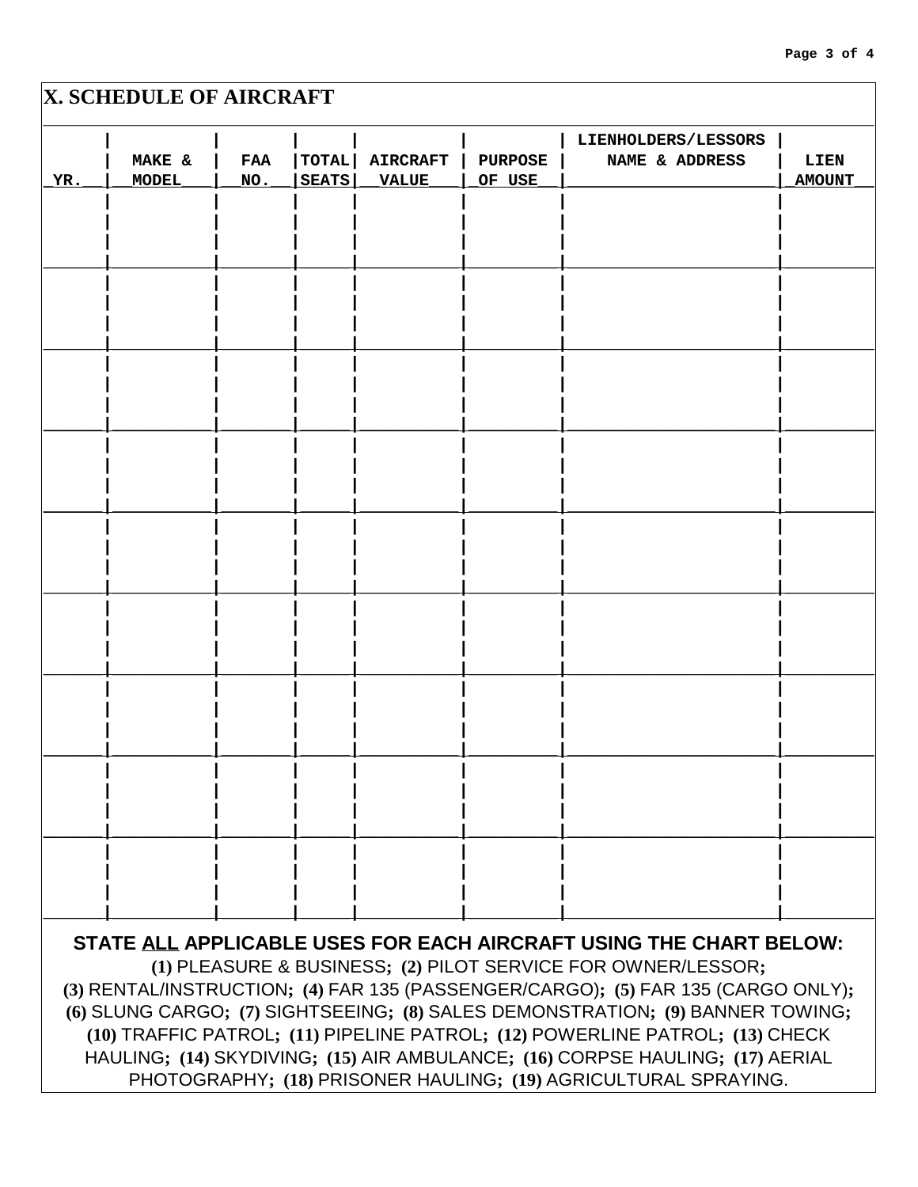|              |                 |                |                     | Page 3 of 4   |
|--------------|-----------------|----------------|---------------------|---------------|
| AFT          |                 |                |                     |               |
|              |                 |                | LIENHOLDERS/LESSORS |               |
| TOTAL        | <b>AIRCRAFT</b> | <b>PURPOSE</b> | NAME & ADDRESS      | LIEN          |
| <b>SEATS</b> | <b>VALUE</b>    | OF USE         |                     | <b>AMOUNT</b> |
|              |                 |                |                     |               |
|              |                 |                |                     |               |
|              |                 |                |                     |               |
|              |                 |                |                     |               |
|              |                 |                |                     |               |
|              |                 |                |                     |               |
|              |                 |                |                     |               |
|              |                 |                |                     |               |
|              |                 |                |                     |               |
|              |                 |                |                     |               |
|              |                 |                |                     |               |
|              |                 |                |                     |               |
|              |                 |                |                     |               |
|              |                 |                |                     |               |
|              |                 |                |                     |               |

# **X. SCHEDULE OF AIRCRA**

|                                                                 |                                                                                  |            |              |                 |                | LIENHOLDERS/LESSORS |               |
|-----------------------------------------------------------------|----------------------------------------------------------------------------------|------------|--------------|-----------------|----------------|---------------------|---------------|
|                                                                 | MAKE &                                                                           | <b>FAA</b> | <b>TOTAL</b> | <b>AIRCRAFT</b> | <b>PURPOSE</b> | NAME & ADDRESS      | LIEN          |
| YR.                                                             | MODEL                                                                            | NO.        | <b>SEATS</b> | <b>VALUE</b>    | OF USE         |                     | <b>AMOUNT</b> |
|                                                                 |                                                                                  |            |              |                 |                |                     |               |
|                                                                 |                                                                                  |            |              |                 |                |                     |               |
|                                                                 |                                                                                  |            |              |                 |                |                     |               |
|                                                                 |                                                                                  |            |              |                 |                |                     |               |
|                                                                 |                                                                                  |            |              |                 |                |                     |               |
|                                                                 |                                                                                  |            |              |                 |                |                     |               |
|                                                                 |                                                                                  |            |              |                 |                |                     |               |
|                                                                 |                                                                                  |            |              |                 |                |                     |               |
|                                                                 |                                                                                  |            |              |                 |                |                     |               |
|                                                                 |                                                                                  |            |              |                 |                |                     |               |
|                                                                 |                                                                                  |            |              |                 |                |                     |               |
|                                                                 |                                                                                  |            |              |                 |                |                     |               |
|                                                                 |                                                                                  |            |              |                 |                |                     |               |
|                                                                 |                                                                                  |            |              |                 |                |                     |               |
|                                                                 |                                                                                  |            |              |                 |                |                     |               |
|                                                                 |                                                                                  |            |              |                 |                |                     |               |
|                                                                 |                                                                                  |            |              |                 |                |                     |               |
|                                                                 |                                                                                  |            |              |                 |                |                     |               |
|                                                                 |                                                                                  |            |              |                 |                |                     |               |
|                                                                 |                                                                                  |            |              |                 |                |                     |               |
|                                                                 |                                                                                  |            |              |                 |                |                     |               |
|                                                                 |                                                                                  |            |              |                 |                |                     |               |
|                                                                 |                                                                                  |            |              |                 |                |                     |               |
|                                                                 |                                                                                  |            |              |                 |                |                     |               |
|                                                                 |                                                                                  |            |              |                 |                |                     |               |
|                                                                 |                                                                                  |            |              |                 |                |                     |               |
|                                                                 |                                                                                  |            |              |                 |                |                     |               |
|                                                                 |                                                                                  |            |              |                 |                |                     |               |
|                                                                 |                                                                                  |            |              |                 |                |                     |               |
|                                                                 |                                                                                  |            |              |                 |                |                     |               |
|                                                                 | STATE ALL APPLICABLE USES FOR EACH AIRCRAFT USING THE CHART BELOW:               |            |              |                 |                |                     |               |
| (1) PLEASURE & BUSINESS; (2) PILOT SERVICE FOR OWNER/LESSOR;    |                                                                                  |            |              |                 |                |                     |               |
|                                                                 | (3) RENTAL/INSTRUCTION; (4) FAR 135 (PASSENGER/CARGO); (5) FAR 135 (CARGO ONLY); |            |              |                 |                |                     |               |
|                                                                 | (6) SLUNG CARGO; (7) SIGHTSEEING; (8) SALES DEMONSTRATION; (9) BANNER TOWING;    |            |              |                 |                |                     |               |
|                                                                 | (10) TRAFFIC PATROL; (11) PIPELINE PATROL; (12) POWERLINE PATROL; (13) CHECK     |            |              |                 |                |                     |               |
|                                                                 | HAULING; (14) SKYDIVING; (15) AIR AMBULANCE; (16) CORPSE HAULING; (17) AERIAL    |            |              |                 |                |                     |               |
| PHOTOGRAPHY; (18) PRISONER HAULING; (19) AGRICULTURAL SPRAYING. |                                                                                  |            |              |                 |                |                     |               |